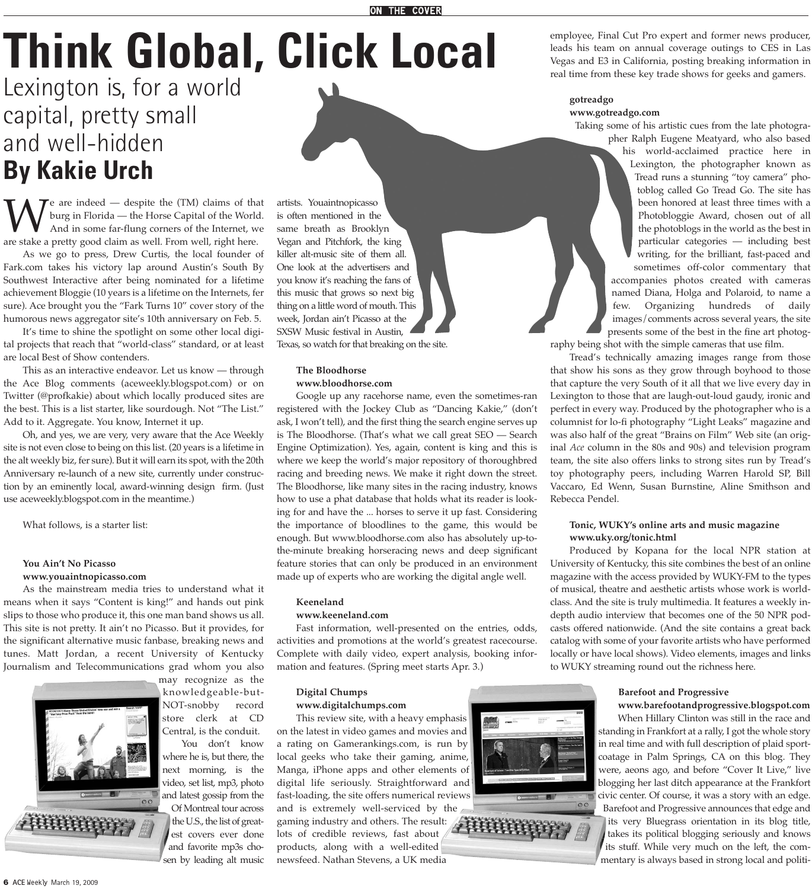# **Think Global, Click Local**

# Lexington is, for a world capital, pretty small and well-hidden **By Kakie Urch**

We are indeed — despite the (TM) claims of that<br>burg in Florida — the Horse Capital of the World.<br>And in some far-flung corners of the Internet, we<br>are stake a pretty good claim as well. From well, right here. burg in Florida — the Horse Capital of the World. And in some far-flung corners of the Internet, we are stake a pretty good claim as well. From well, right here.

As we go to press, Drew Curtis, the local founder of Fark.com takes his victory lap around Austin's South By Southwest Interactive after being nominated for a lifetime achievement Bloggie (10 years is a lifetime on the Internets, fer sure). Ace brought you the "Fark Turns 10" cover story of the humorous news aggregator site's 10th anniversary on Feb. 5.

It's time to shine the spotlight on some other local digital projects that reach that "world-class" standard, or at least are local Best of Show contenders.

This as an interactive endeavor. Let us know — through the Ace Blog comments (aceweekly.blogspot.com) or on Twitter (@profkakie) about which locally produced sites are the best. This is a list starter, like sourdough. Not "The List." Add to it. Aggregate. You know, Internet it up.

Oh, and yes, we are very, very aware that the Ace Weekly site is not even close to being on this list. (20 years is a lifetime in the alt weekly biz, fer sure). But it will earn its spot, with the 20th Anniversary re-launch of a new site, currently under construction by an eminently local, award-winning design firm. (Just use aceweekly.blogspot.com in the meantime.)

What follows, is a starter list:

#### **You Ain't No Picasso www.youaintnopicasso.com**

As the mainstream media tries to understand what it means when it says "Content is king!" and hands out pink slips to those who produce it, this one man band shows us all. This site is not pretty. It ain't no Picasso. But it provides, for the significant alternative music fanbase, breaking news and tunes. Matt Jordan, a recent University of Kentucky Journalism and Telecommunications grad whom you also

You don't know



is often mentioned in the same breath as Brooklyn Vegan and Pitchfork, the king killer alt-music site of them all. One look at the advertisers and you know it's reaching the fans of this music that grows so next big thing on a little word of mouth. This week, Jordan ain't Picasso at the SXSW Music festival in Austin, Texas, so watch for that breaking on the site.

artists. Youaintnopicasso

#### **The Bloodhorse www.bloodhorse.com**

Google up any racehorse name, even the sometimes-ran registered with the Jockey Club as "Dancing Kakie," (don't ask, I won't tell), and the first thing the search engine serves up is The Bloodhorse. (That's what we call great SEO — Search Engine Optimization). Yes, again, content is king and this is where we keep the world's major repository of thoroughbred racing and breeding news. We make it right down the street. The Bloodhorse, like many sites in the racing industry, knows how to use a phat database that holds what its reader is looking for and have the ... horses to serve it up fast. Considering the importance of bloodlines to the game, this would be enough. But www.bloodhorse.com also has absolutely up-tothe-minute breaking horseracing news and deep significant feature stories that can only be produced in an environment made up of experts who are working the digital angle well.

#### **Keeneland**

#### **www.keeneland.com**

Fast information, well-presented on the entries, odds, activities and promotions at the world's greatest racecourse. Complete with daily video, expert analysis, booking information and features. (Spring meet starts Apr. 3.)

#### **Digital Chumps www.digitalchumps.com**

This review site, with a heavy emphasis on the latest in video games and movies and a rating on Gamerankings.com, is run by local geeks who take their gaming, anime, Manga, iPhone apps and other elements of digital life seriously. Straightforward and fast-loading, the site offers numerical reviews

and is extremely well-serviced by the gaming industry and others. The result: lots of credible reviews, fast about products, along with a well-edited newsfeed. Nathan Stevens, a UK media



# **gotreadgo**

**www.gotreadgo.com**

Taking some of his artistic cues from the late photographer Ralph Eugene Meatyard, who also based

his world-acclaimed practice here in Lexington, the photographer known as Tread runs a stunning "toy camera" photoblog called Go Tread Go. The site has been honored at least three times with a Photobloggie Award, chosen out of all the photoblogs in the world as the best in particular categories — including best writing, for the brilliant, fast-paced and sometimes off-color commentary that accompanies photos created with cameras named Diana, Holga and Polaroid, to name a few. Organizing hundreds of daily images/comments across several years, the site

presents some of the best in the fine art photography being shot with the simple cameras that use film.

Tread's technically amazing images range from those that show his sons as they grow through boyhood to those that capture the very South of it all that we live every day in Lexington to those that are laugh-out-loud gaudy, ironic and perfect in every way. Produced by the photographer who is a columnist for lo-fi photography "Light Leaks" magazine and was also half of the great "Brains on Film" Web site (an original *Ace* column in the 80s and 90s) and television program team, the site also offers links to strong sites run by Tread's toy photography peers, including Warren Harold SP, Bill Vaccaro, Ed Wenn, Susan Burnstine, Aline Smithson and Rebecca Pendel.

#### **Tonic, WUKY's online arts and music magazine www.uky.org/tonic.html**

Produced by Kopana for the local NPR station at University of Kentucky, this site combines the best of an online magazine with the access provided by WUKY-FM to the types of musical, theatre and aesthetic artists whose work is worldclass. And the site is truly multimedia. It features a weekly indepth audio interview that becomes one of the 50 NPR podcasts offered nationwide. (And the site contains a great back catalog with some of your favorite artists who have performed locally or have local shows). Video elements, images and links to WUKY streaming round out the richness here.

#### **Barefoot and Progressive**

**www.barefootandprogressive.blogspot.com** When Hillary Clinton was still in the race and standing in Frankfort at a rally, I got the whole story in real time and with full description of plaid sportcoatage in Palm Springs, CA on this blog. They were, aeons ago, and before "Cover It Live," live blogging her last ditch appearance at the Frankfort civic center. Of course, it was a story with an edge. Barefoot and Progressive announces that edge and its very Bluegrass orientation in its blog title, takes its political blogging seriously and knows its stuff. While very much on the left, the commentary is always based in strong local and politi